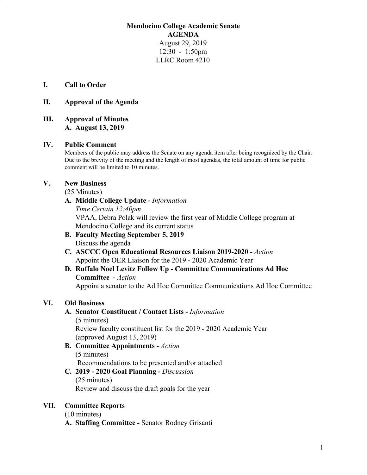### **Mendocino College Academic Senate AGENDA** August 29, 2019 12:30 - 1:50pm LLRC Room 4210

### **I. Call to Order**

### **II. Approval of the Agenda**

### **III. Approval of Minutes A. August 13, 2019**

### **IV. Public Comment**

Members of the public may address the Senate on any agenda item after being recognized by the Chair. Due to the brevity of the meeting and the length of most agendas, the total amount of time for public comment will be limited to 10 minutes.

### **V. New Business**

(25 Minutes)

# **A. Middle College Update -** *Information*

*Time Certain 12:40pm* VPAA, Debra Polak will review the first year of Middle College program at Mendocino College and its current status

- **B. Faculty Meeting September 5, 2019** Discuss the agenda
- **C. ASCCC Open Educational Resources Liaison 2019-2020** *Action* Appoint the OER Liaison for the 2019 **-** 2020 Academic Year

# **D. Ruffalo Noel Levitz Follow Up - Committee Communications Ad Hoc Committee -** *Action*

Appoint a senator to the Ad Hoc Committee Communications Ad Hoc Committee

### **VI. Old Business**

# **A. Senator Constituent / Contact Lists -** *Information*

(5 minutes) Review faculty constituent list for the 2019 - 2020 Academic Year (approved August 13, 2019)

**B. Committee Appointments -** *Action* (5 minutes) Recommendations to be presented and/or attached

### **C. 2019 - 2020 Goal Planning -** *Discussion* (25 minutes) Review and discuss the draft goals for the year

### **VII. Committee Reports**

(10 minutes)

**A. Staffing Committee -** Senator Rodney Grisanti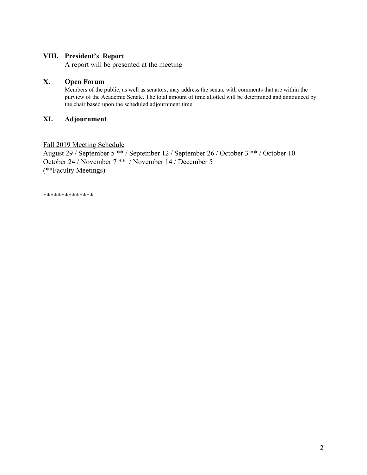### **VIII. President's Report**

A report will be presented at the meeting

### **X. Open Forum**

Members of the public, as well as senators, may address the senate with comments that are within the purview of the Academic Senate. The total amount of time allotted will be determined and announced by the chair based upon the scheduled adjournment time.

### **XI. Adjournment**

### Fall 2019 Meeting Schedule

August 29 / September 5 \*\* / September 12 / September 26 / October 3 \*\* / October 10 October 24 / November 7 \*\* / November 14 / December 5 (\*\*Faculty Meetings)

\*\*\*\*\*\*\*\*\*\*\*\*\*\*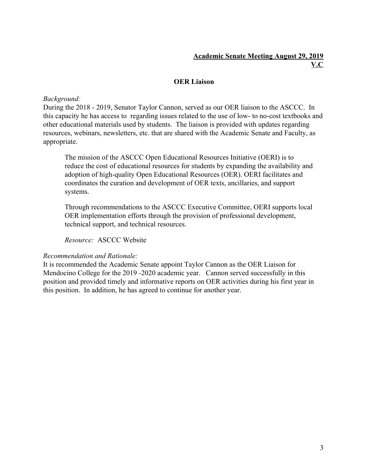### **Academic Senate Meeting August 29, 2019 V.C**

### **OER Liaison**

### *Background:*

During the 2018 - 2019, Senator Taylor Cannon, served as our OER liaison to the ASCCC. In this capacity he has access to regarding issues related to the use of low- to no-cost textbooks and other educational materials used by students. The liaison is provided with updates regarding resources, webinars, newsletters, etc. that are shared with the Academic Senate and Faculty, as appropriate.

The mission of the ASCCC Open Educational Resources Initiative (OERI) is to reduce the cost of educational resources for students by expanding the availability and adoption of high-quality Open Educational Resources (OER). OERI facilitates and coordinates the curation and development of OER texts, ancillaries, and support systems.

Through recommendations to the ASCCC Executive Committee, OERI supports local OER implementation efforts through the provision of professional development, technical support, and technical resources.

*Resource:* ASCCC Website

### *Recommendation and Rationale:*

It is recommended the Academic Senate appoint Taylor Cannon as the OER Liaison for Mendocino College for the 2019 -2020 academic year. Cannon served successfully in this position and provided timely and informative reports on OER activities during his first year in this position. In addition, he has agreed to continue for another year.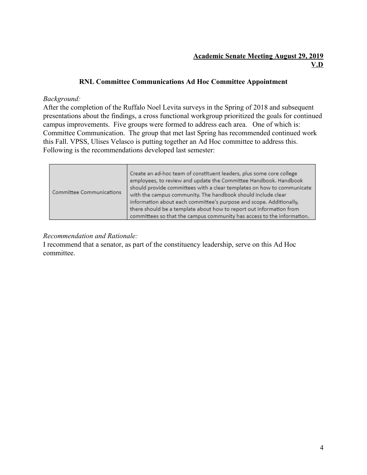# **Academic Senate Meeting August 29, 2019 V.D**

### **RNL Committee Communications Ad Hoc Committee Appointment**

### *Background:*

After the completion of the Ruffalo Noel Levita surveys in the Spring of 2018 and subsequent presentations about the findings, a cross functional workgroup prioritized the goals for continued campus improvements. Five groups were formed to address each area. One of which is: Committee Communication. The group that met last Spring has recommended continued work this Fall. VPSS, Ulises Velasco is putting together an Ad Hoc committee to address this. Following is the recommendations developed last semester:

| Committee Communications | Create an ad-hoc team of constituent leaders, plus some core college<br>employees, to review and update the Committee Handbook. Handbook<br>should provide committees with a clear templates on how to communicate<br>with the campus community. The handbook should include clear<br>information about each committee's purpose and scope. Additionally,<br>there should be a template about how to report out information from<br>committees so that the campus community has access to the information. |
|--------------------------|------------------------------------------------------------------------------------------------------------------------------------------------------------------------------------------------------------------------------------------------------------------------------------------------------------------------------------------------------------------------------------------------------------------------------------------------------------------------------------------------------------|
|--------------------------|------------------------------------------------------------------------------------------------------------------------------------------------------------------------------------------------------------------------------------------------------------------------------------------------------------------------------------------------------------------------------------------------------------------------------------------------------------------------------------------------------------|

### *Recommendation and Rationale:*

I recommend that a senator, as part of the constituency leadership, serve on this Ad Hoc committee.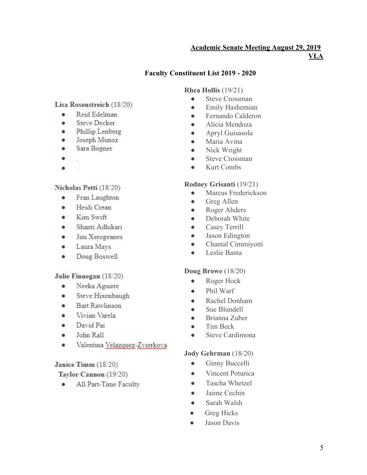# **Academic Senate Meeting August 29, 2019**

**VI.A**

# **Faculty Constituent List 2019 - 2020**

### **Rhea Hollis** (19/21)

- Steve Crossman
- Emily Hashemian
- Fernando Calderon
- Alicia Mendoza
- Apryl Guisasola
- Maria Avina
- Nick Wright
- Steve Crossman
- Kurt Combs

# **Rodney Grisanti** (19/21)

- Marcus Frederickson
- Greg Allen
- Roger Ahders
- Deborah White
- Casey Terrill
- Jason Edington
- Chantal Cimmiyotti
- Leslie Banta

# **Doug Browe** (18/20)

- Roger Hock
- Phil Warf
- Rachel Donham
- Sue Blundell
- Brianna Zuber
- Tim Beck
- Steve Cardimona

# **Jody Gehrman** (18/20)

- Ginny Buccelli
- Vincent Poturica
- Tascha Whetzel
- Jaime Cechin
- Sarah Walsh
- Greg Hicks
- Jason Davis

# Lisa Rosenstreich (18/20)

- a. Reid Edelman
- **Steve Decker** ö
- Phillip Lenberg
- Joseph Munoz ō
- Sara Bogner  $\bullet$
- 
- å ģ.

# Nicholas Petti (18/20)

- Fran Laughton ۰
- Heidi Crean ė
- Kim Swift a.
- Shanti Adhikari ä
- Jim Xerogeanes  $\bullet$
- $\bullet$ Laura Mays
- ٠ Doug Boswell

# Julie Finnegan (18/20)

- Neeka Aguirre a.
- Steve Hixenbaugh ė
- **Bart Rawlinson**  $\bullet$
- Vivian Varela ò
- David Pai  $\bullet$
- John Rall  $\bullet$
- Valentina Velazquez-Zvierkova ۰

# Janice Timm (18/20)

# Taylor Cannon (19/20)

All Part-Time Faculty ۰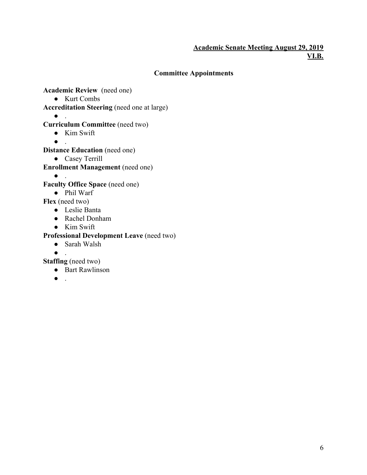### **Academic Senate Meeting August 29, 2019 VI.B.**

# **Committee Appointments**

**Academic Review** (need one)

- Kurt Combs
- **Accreditation Steering** (need one at large)
	- $\bullet$  .

# **Curriculum Committee** (need two)

- Kim Swift
- $\bullet$  .

**Distance Education** (need one)

- Casey Terrill
- **Enrollment Management** (need one)
	- $\bullet$  .

**Faculty Office Space** (need one)

● Phil Warf

**Flex** (need two)

- Leslie Banta
- Rachel Donham
- Kim Swift

# **Professional Development Leave** (need two)

- Sarah Walsh
- $\bullet$  .

**Staffing** (need two)

- Bart Rawlinson
- $\bullet$  .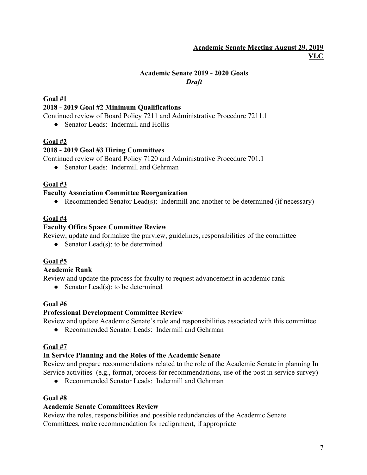# **Academic Senate Meeting August 29, 2019 VI.C**

# **Academic Senate 2019 - 2020 Goals** *Draft*

# **Goal #1 2018 - 2019 Goal #2 Minimum Qualifications**

Continued review of Board Policy 7211 and Administrative Procedure 7211.1

• Senator Leads: Indermill and Hollis

### **Goal #2**

### **2018 - 2019 Goal #3 Hiring Committees**

Continued review of Board Policy 7120 and Administrative Procedure 701.1

• Senator Leads: Indermill and Gehrman

### **Goal #3**

### **Faculty Association Committee Reorganization**

• Recommended Senator Lead(s): Indermill and another to be determined (if necessary)

### **Goal #4**

### **Faculty Office Space Committee Review**

Review, update and formalize the purview, guidelines, responsibilities of the committee

• Senator Lead(s): to be determined

### **Goal #5**

### **Academic Rank**

Review and update the process for faculty to request advancement in academic rank

• Senator Lead(s): to be determined

### **Goal #6**

### **Professional Development Committee Review**

Review and update Academic Senate's role and responsibilities associated with this committee

● Recommended Senator Leads: Indermill and Gehrman

### **Goal #7**

### **In Service Planning and the Roles of the Academic Senate**

Review and prepare recommendations related to the role of the Academic Senate in planning In Service activities (e.g., format, process for recommendations, use of the post in service survey)

● Recommended Senator Leads: Indermill and Gehrman

### **Goal #8**

### **Academic Senate Committees Review**

Review the roles, responsibilities and possible redundancies of the Academic Senate Committees, make recommendation for realignment, if appropriate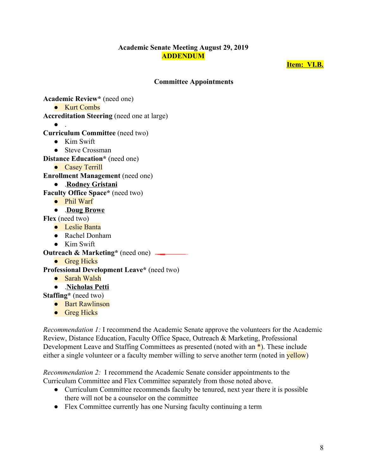### **Academic Senate Meeting August 29, 2019 ADDENDUM**

**Item: VI.B.**

### **Committee Appointments**

**Academic Review\*** (need one)

● Kurt Combs

**Accreditation Steering** (need one at large)

 $\bullet$  .

### **Curriculum Committee** (need two)

- $\bullet$  Kim Swift
- Steve Crossman

**Distance Education\*** (need one)

● Casey Terrill

**Enrollment Management** (need one)

● .**Rodney Gristani**

**Faculty Office Space\*** (need two)

● Phil Warf

● .**Doug Browe**

**Flex** (need two)

- Leslie Banta
- Rachel Donham
- Kim Swift

**Outreach & Marketing\*** (need one) \_\_\_\_\_\_\_\_\_

● Greg Hicks

**Professional Development Leave\*** (need two)

- Sarah Walsh
- .**Nicholas Petti**

**Staffing\*** (need two)

- Bart Rawlinson
- Greg Hicks

*Recommendation 1:* I recommend the Academic Senate approve the volunteers for the Academic Review, Distance Education, Faculty Office Space, Outreach & Marketing, Professional Development Leave and Staffing Committees as presented (noted with an  $*$ ). These include either a single volunteer or a faculty member willing to serve another term (noted in yellow)

*Recommendation 2:* I recommend the Academic Senate consider appointments to the Curriculum Committee and Flex Committee separately from those noted above.

- Curriculum Committee recommends faculty be tenured, next year there it is possible there will not be a counselor on the committee
- Flex Committee currently has one Nursing faculty continuing a term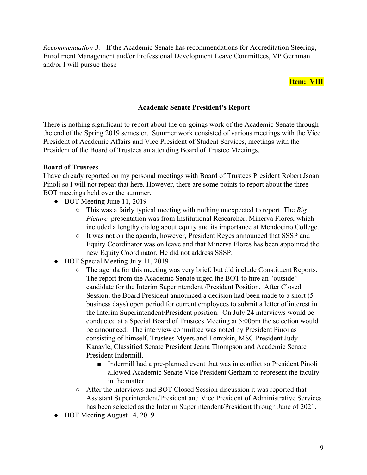*Recommendation 3:* If the Academic Senate has recommendations for Accreditation Steering, Enrollment Management and/or Professional Development Leave Committees, VP Gerhman and/or I will pursue those

### **Item: VIII**

### **Academic Senate President's Report**

There is nothing significant to report about the on-goings work of the Academic Senate through the end of the Spring 2019 semester. Summer work consisted of various meetings with the Vice President of Academic Affairs and Vice President of Student Services, meetings with the President of the Board of Trustees an attending Board of Trustee Meetings.

### **Board of Trustees**

I have already reported on my personal meetings with Board of Trustees President Robert Jsoan Pinoli so I will not repeat that here. However, there are some points to report about the three BOT meetings held over the summer.

- BOT Meeting June 11, 2019
	- This was a fairly typical meeting with nothing unexpected to report. The *Big Picture* presentation was from Institutional Researcher, Minerva Flores, which included a lengthy dialog about equity and its importance at Mendocino College.
	- It was not on the agenda, however, President Reyes announced that SSSP and Equity Coordinator was on leave and that Minerva Flores has been appointed the new Equity Coordinator. He did not address SSSP.
- BOT Special Meeting July 11, 2019
	- The agenda for this meeting was very brief, but did include Constituent Reports. The report from the Academic Senate urged the BOT to hire an "outside" candidate for the Interim Superintendent /President Position. After Closed Session, the Board President announced a decision had been made to a short (5 business days) open period for current employees to submit a letter of interest in the Interim Superintendent/President position. On July 24 interviews would be conducted at a Special Board of Trustees Meeting at 5:00pm the selection would be announced. The interview committee was noted by President Pinoi as consisting of himself, Trustees Myers and Tompkin, MSC President Judy Kanavle, Classified Senate President Jeana Thompson and Academic Senate President Indermill.
		- Indermill had a pre-planned event that was in conflict so President Pinoli allowed Academic Senate Vice President Gerham to represent the faculty in the matter.
	- After the interviews and BOT Closed Session discussion it was reported that Assistant Superintendent/President and Vice President of Administrative Services has been selected as the Interim Superintendent/President through June of 2021.
- BOT Meeting August 14, 2019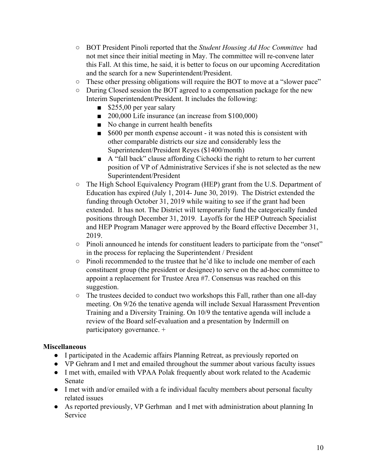- BOT President Pinoli reported that the *Student Housing Ad Hoc Committee* had not met since their initial meeting in May. The committee will re-convene later this Fall. At this time, he said, it is better to focus on our upcoming Accreditation and the search for a new Superintendent/President.
- These other pressing obligations will require the BOT to move at a "slower pace"
- During Closed session the BOT agreed to a compensation package for the new Interim Superintendent/President. It includes the following:
	- \$255,00 per year salary
	- 200,000 Life insurance (an increase from \$100,000)
	- No change in current health benefits
	- \$600 per month expense account it was noted this is consistent with other comparable districts our size and considerably less the Superintendent/President Reyes (\$1400/month)
	- A "fall back" clause affording Cichocki the right to return to her current position of VP of Administrative Services if she is not selected as the new Superintendent/President
- The High School Equivalency Program (HEP) grant from the U.S. Department of Education has expired (July 1, 2014- June 30, 2019). The District extended the funding through October 31, 2019 while waiting to see if the grant had been extended. It has not. The District will temporarily fund the categorically funded positions through December 31, 2019. Layoffs for the HEP Outreach Specialist and HEP Program Manager were approved by the Board effective December 31, 2019.
- Pinoli announced he intends for constituent leaders to participate from the "onset" in the process for replacing the Superintendent / President
- Pinoli recommended to the trustee that he'd like to include one member of each constituent group (the president or designee) to serve on the ad-hoc committee to appoint a replacement for Trustee Area #7. Consensus was reached on this suggestion.
- The trustees decided to conduct two workshops this Fall, rather than one all-day meeting. On 9/26 the tenative agenda will include Sexual Harassment Prevention Training and a Diversity Training. On 10/9 the tentative agenda will include a review of the Board self-evaluation and a presentation by Indermill on participatory governance. +

### **Miscellaneous**

- I participated in the Academic affairs Planning Retreat, as previously reported on
- VP Gehram and I met and emailed throughout the summer about various faculty issues
- I met with, emailed with VPAA Polak frequently about work related to the Academic Senate
- I met with and/or emailed with a fe individual faculty members about personal faculty related issues
- As reported previously, VP Gerhman and I met with administration about planning In **Service**